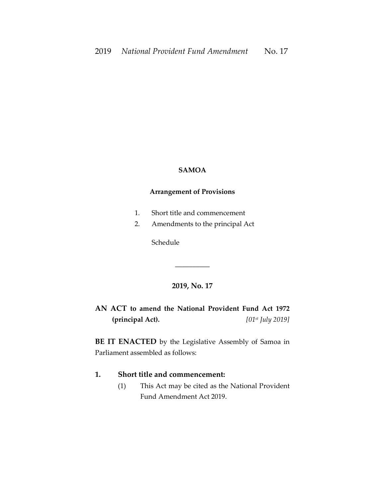#### **SAMOA**

#### **Arrangement of Provisions**

- 1. Short title and commencement
- 2. Amendments to the principal Act

Schedule

# **2019, No. 17**

\_\_\_\_\_\_\_\_\_\_

**AN ACT to amend the National Provident Fund Act 1972 (principal Act).** *[01st July 2019]*

**BE IT ENACTED** by the Legislative Assembly of Samoa in Parliament assembled as follows:

## **1. Short title and commencement:**

(1) This Act may be cited as the National Provident Fund Amendment Act 2019.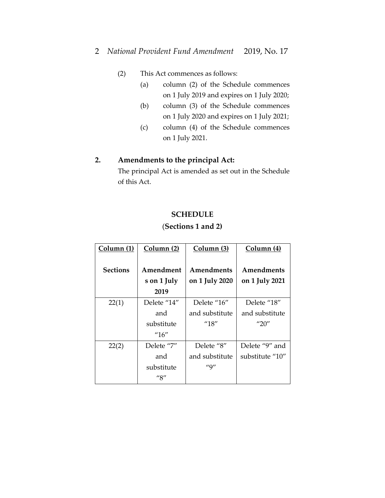### (2) This Act commences as follows:

- (a) column (2) of the Schedule commences on 1 July 2019 and expires on 1 July 2020;
- (b) column (3) of the Schedule commences on 1 July 2020 and expires on 1 July 2021;
- (c) column (4) of the Schedule commences on 1 July 2021.

# **2. Amendments to the principal Act:**

The principal Act is amended as set out in the Schedule of this Act.

### **SCHEDULE**

# (**Sections 1 and 2)**

| Column (1)      | Column (2)                         | Column (3)           | Column (4)             |
|-----------------|------------------------------------|----------------------|------------------------|
| <b>Sections</b> | Amendment                          | Amendments           | Amendments             |
|                 | s on 1 July                        | on 1 July 2020       | on 1 July 2021         |
|                 | 2019                               |                      |                        |
| 22(1)           | Delete "14"                        | Delete "16"          | Delete "18"            |
|                 | and                                | and substitute       | and substitute         |
|                 | substitute                         | ''18''               | $^{\prime\prime}$ 20'' |
|                 | $^{\prime\prime}16^{\prime\prime}$ |                      |                        |
| 22(2)           | Delete "7"                         | Delete "8"           | Delete "9" and         |
|                 | and                                | and substitute       | substitute "10"        |
|                 | substitute                         | $^{\prime\prime}$ 9" |                        |
|                 | ''S''                              |                      |                        |